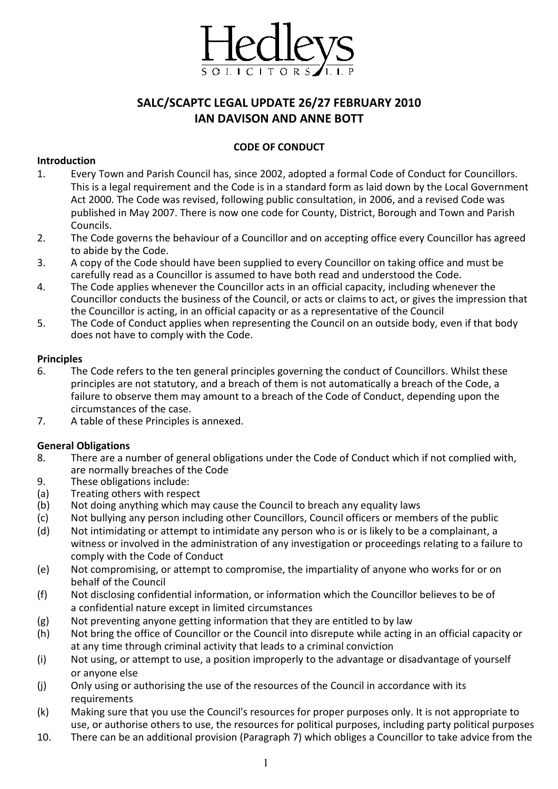

# SALC/SCAPTC LEGAL UPDATE 26/27 FEBRUARY 2010 IAN DAVISON AND ANNE BOTT

#### CODE OF CONDUCT

#### Introduction

- 1. Every Town and Parish Council has, since 2002, adopted a formal Code of Conduct for Councillors. This is a legal requirement and the Code is in a standard form as laid down by the Local Government Act 2000. The Code was revised, following public consultation, in 2006, and a revised Code was published in May 2007. There is now one code for County, District, Borough and Town and Parish Councils.
- 2. The Code governs the behaviour of a Councillor and on accepting office every Councillor has agreed to abide by the Code.
- 3. A copy of the Code should have been supplied to every Councillor on taking office and must be carefully read as a Councillor is assumed to have both read and understood the Code.
- 4. The Code applies whenever the Councillor acts in an official capacity, including whenever the Councillor conducts the business of the Council, or acts or claims to act, or gives the impression that the Councillor is acting, in an official capacity or as a representative of the Council
- 5. The Code of Conduct applies when representing the Council on an outside body, even if that body does not have to comply with the Code.

#### Principles

- 6. The Code refers to the ten general principles governing the conduct of Councillors. Whilst these principles are not statutory, and a breach of them is not automatically a breach of the Code, a failure to observe them may amount to a breach of the Code of Conduct, depending upon the circumstances of the case.
- 7. A table of these Principles is annexed.

#### General Obligations

- 8. There are a number of general obligations under the Code of Conduct which if not complied with, are normally breaches of the Code
- 9. These obligations include:
- (a) Treating others with respect
- (b) Not doing anything which may cause the Council to breach any equality laws
- (c) Not bullying any person including other Councillors, Council officers or members of the public
- (d) Not intimidating or attempt to intimidate any person who is or is likely to be a complainant, a witness or involved in the administration of any investigation or proceedings relating to a failure to comply with the Code of Conduct
- (e) Not compromising, or attempt to compromise, the impartiality of anyone who works for or on behalf of the Council
- (f) Not disclosing confidential information, or information which the Councillor believes to be of a confidential nature except in limited circumstances
- (g) Not preventing anyone getting information that they are entitled to by law
- (h) Not bring the office of Councillor or the Council into disrepute while acting in an official capacity or at any time through criminal activity that leads to a criminal conviction
- (i) Not using, or attempt to use, a position improperly to the advantage or disadvantage of yourself or anyone else
- (j) Only using or authorising the use of the resources of the Council in accordance with its requirements
- (k) Making sure that you use the Council's resources for proper purposes only. It is not appropriate to use, or authorise others to use, the resources for political purposes, including party political purposes
- 10. There can be an additional provision (Paragraph 7) which obliges a Councillor to take advice from the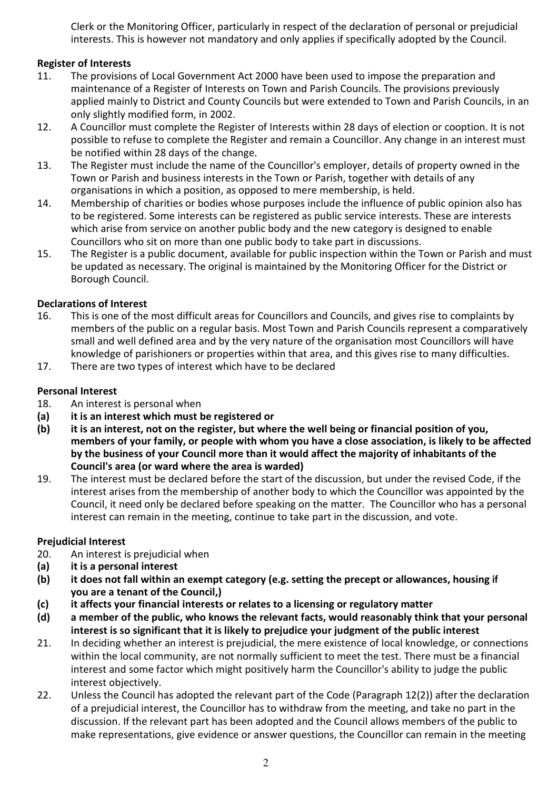Clerk or the Monitoring Officer, particularly in respect of the declaration of personal or prejudicial interests. This is however not mandatory and only applies if specifically adopted by the Council.

# Register of Interests

- 11. The provisions of Local Government Act 2000 have been used to impose the preparation and maintenance of a Register of Interests on Town and Parish Councils. The provisions previously applied mainly to District and County Councils but were extended to Town and Parish Councils, in an only slightly modified form, in 2002.
- 12. A Councillor must complete the Register of Interests within 28 days of election or cooption. It is not possible to refuse to complete the Register and remain a Councillor. Any change in an interest must be notified within 28 days of the change.
- 13. The Register must include the name of the Councillor's employer, details of property owned in the Town or Parish and business interests in the Town or Parish, together with details of any organisations in which a position, as opposed to mere membership, is held.
- 14. Membership of charities or bodies whose purposes include the influence of public opinion also has to be registered. Some interests can be registered as public service interests. These are interests which arise from service on another public body and the new category is designed to enable Councillors who sit on more than one public body to take part in discussions.
- 15. The Register is a public document, available for public inspection within the Town or Parish and must be updated as necessary. The original is maintained by the Monitoring Officer for the District or Borough Council.

# Declarations of Interest

- 16. This is one of the most difficult areas for Councillors and Councils, and gives rise to complaints by members of the public on a regular basis. Most Town and Parish Councils represent a comparatively small and well defined area and by the very nature of the organisation most Councillors will have knowledge of parishioners or properties within that area, and this gives rise to many difficulties.
- 17. There are two types of interest which have to be declared

## Personal Interest

- 18. An interest is personal when
- (a) it is an interest which must be registered or
- (b) it is an interest, not on the register, but where the well being or financial position of you, members of your family, or people with whom you have a close association, is likely to be affected by the business of your Council more than it would affect the majority of inhabitants of the Council's area (or ward where the area is warded)
- 19. The interest must be declared before the start of the discussion, but under the revised Code, if the interest arises from the membership of another body to which the Councillor was appointed by the Council, it need only be declared before speaking on the matter. The Councillor who has a personal interest can remain in the meeting, continue to take part in the discussion, and vote.

### Prejudicial Interest

- 20. An interest is prejudicial when
- (a) it is a personal interest
- (b) it does not fall within an exempt category (e.g. setting the precept or allowances, housing if you are a tenant of the Council,)
- (c) it affects your financial interests or relates to a licensing or regulatory matter
- (d) a member of the public, who knows the relevant facts, would reasonably think that your personal interest is so significant that it is likely to prejudice your judgment of the public interest
- 21. In deciding whether an interest is prejudicial, the mere existence of local knowledge, or connections within the local community, are not normally sufficient to meet the test. There must be a financial interest and some factor which might positively harm the Councillor's ability to judge the public interest objectively.
- 22. Unless the Council has adopted the relevant part of the Code (Paragraph 12(2)) after the declaration of a prejudicial interest, the Councillor has to withdraw from the meeting, and take no part in the discussion. If the relevant part has been adopted and the Council allows members of the public to make representations, give evidence or answer questions, the Councillor can remain in the meeting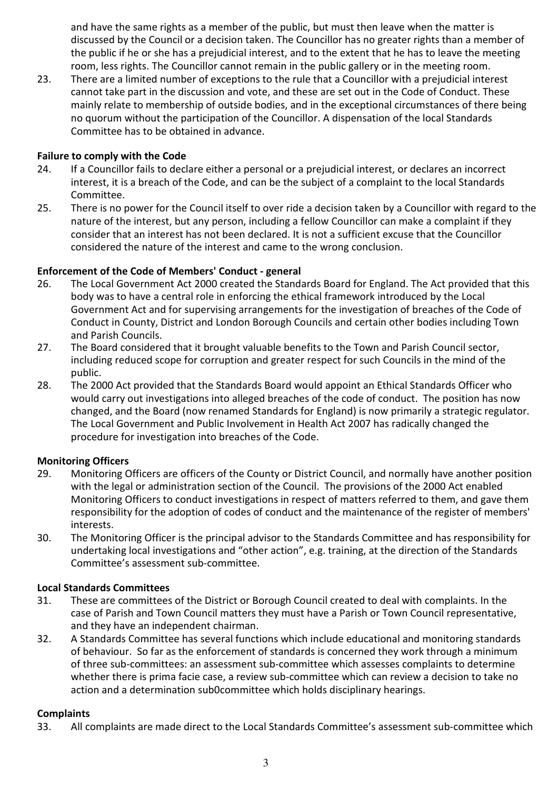and have the same rights as a member of the public, but must then leave when the matter is discussed by the Council or a decision taken. The Councillor has no greater rights than a member of the public if he or she has a prejudicial interest, and to the extent that he has to leave the meeting room, less rights. The Councillor cannot remain in the public gallery or in the meeting room.

23. There are a limited number of exceptions to the rule that a Councillor with a prejudicial interest cannot take part in the discussion and vote, and these are set out in the Code of Conduct. These mainly relate to membership of outside bodies, and in the exceptional circumstances of there being no quorum without the participation of the Councillor. A dispensation of the local Standards Committee has to be obtained in advance.

#### Failure to comply with the Code

- 24. If a Councillor fails to declare either a personal or a prejudicial interest, or declares an incorrect interest, it is a breach of the Code, and can be the subject of a complaint to the local Standards Committee.
- 25. There is no power for the Council itself to over ride a decision taken by a Councillor with regard to the nature of the interest, but any person, including a fellow Councillor can make a complaint if they consider that an interest has not been declared. It is not a sufficient excuse that the Councillor considered the nature of the interest and came to the wrong conclusion.

#### Enforcement of the Code of Members' Conduct - general

- 26. The Local Government Act 2000 created the Standards Board for England. The Act provided that this body was to have a central role in enforcing the ethical framework introduced by the Local Government Act and for supervising arrangements for the investigation of breaches of the Code of Conduct in County, District and London Borough Councils and certain other bodies including Town and Parish Councils.
- 27. The Board considered that it brought valuable benefits to the Town and Parish Council sector, including reduced scope for corruption and greater respect for such Councils in the mind of the public.
- 28. The 2000 Act provided that the Standards Board would appoint an Ethical Standards Officer who would carry out investigations into alleged breaches of the code of conduct. The position has now changed, and the Board (now renamed Standards for England) is now primarily a strategic regulator. The Local Government and Public Involvement in Health Act 2007 has radically changed the procedure for investigation into breaches of the Code.

#### Monitoring Officers

- 29. Monitoring Officers are officers of the County or District Council, and normally have another position with the legal or administration section of the Council. The provisions of the 2000 Act enabled Monitoring Officers to conduct investigations in respect of matters referred to them, and gave them responsibility for the adoption of codes of conduct and the maintenance of the register of members' interests.
- 30. The Monitoring Officer is the principal advisor to the Standards Committee and has responsibility for undertaking local investigations and "other action", e.g. training, at the direction of the Standards Committee's assessment sub-committee.

#### Local Standards Committees

- 31. These are committees of the District or Borough Council created to deal with complaints. In the case of Parish and Town Council matters they must have a Parish or Town Council representative, and they have an independent chairman.
- 32. A Standards Committee has several functions which include educational and monitoring standards of behaviour. So far as the enforcement of standards is concerned they work through a minimum of three sub-committees: an assessment sub-committee which assesses complaints to determine whether there is prima facie case, a review sub-committee which can review a decision to take no action and a determination sub0committee which holds disciplinary hearings.

#### **Complaints**

33. All complaints are made direct to the Local Standards Committee's assessment sub-committee which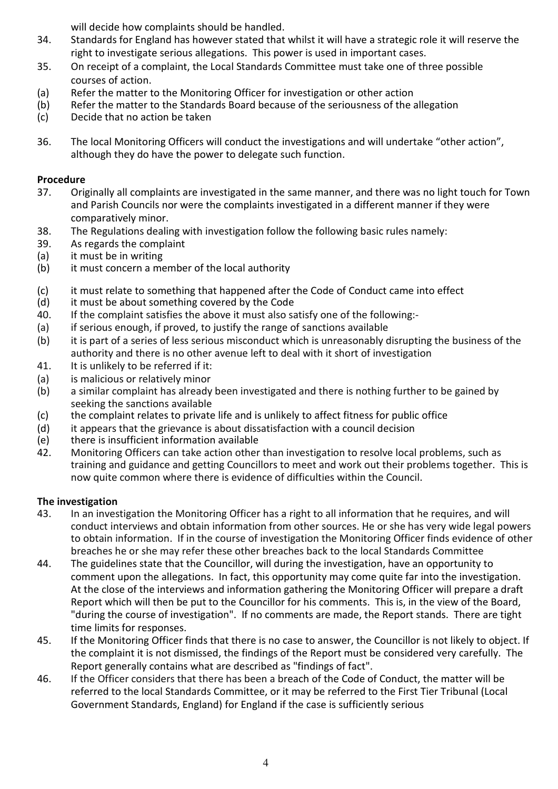will decide how complaints should be handled.

- 34. Standards for England has however stated that whilst it will have a strategic role it will reserve the right to investigate serious allegations. This power is used in important cases.
- 35. On receipt of a complaint, the Local Standards Committee must take one of three possible courses of action.
- (a) Refer the matter to the Monitoring Officer for investigation or other action
- (b) Refer the matter to the Standards Board because of the seriousness of the allegation
- (c) Decide that no action be taken
- 36. The local Monitoring Officers will conduct the investigations and will undertake "other action", although they do have the power to delegate such function.

## Procedure

- 37. Originally all complaints are investigated in the same manner, and there was no light touch for Town and Parish Councils nor were the complaints investigated in a different manner if they were comparatively minor.
- 38. The Regulations dealing with investigation follow the following basic rules namely:
- 39. As regards the complaint
- (a) it must be in writing
- (b) it must concern a member of the local authority
- (c) it must relate to something that happened after the Code of Conduct came into effect
- (d) it must be about something covered by the Code
- 40. If the complaint satisfies the above it must also satisfy one of the following:-
- (a) if serious enough, if proved, to justify the range of sanctions available
- (b) it is part of a series of less serious misconduct which is unreasonably disrupting the business of the authority and there is no other avenue left to deal with it short of investigation
- 41. It is unlikely to be referred if it:
- (a) is malicious or relatively minor
- (b) a similar complaint has already been investigated and there is nothing further to be gained by seeking the sanctions available
- (c) the complaint relates to private life and is unlikely to affect fitness for public office
- (d) it appears that the grievance is about dissatisfaction with a council decision
- (e) there is insufficient information available
- 42. Monitoring Officers can take action other than investigation to resolve local problems, such as training and guidance and getting Councillors to meet and work out their problems together. This is now quite common where there is evidence of difficulties within the Council.

### The investigation

- 43. In an investigation the Monitoring Officer has a right to all information that he requires, and will conduct interviews and obtain information from other sources. He or she has very wide legal powers to obtain information. If in the course of investigation the Monitoring Officer finds evidence of other breaches he or she may refer these other breaches back to the local Standards Committee
- 44. The guidelines state that the Councillor, will during the investigation, have an opportunity to comment upon the allegations. In fact, this opportunity may come quite far into the investigation. At the close of the interviews and information gathering the Monitoring Officer will prepare a draft Report which will then be put to the Councillor for his comments. This is, in the view of the Board, "during the course of investigation". If no comments are made, the Report stands. There are tight time limits for responses.
- 45. If the Monitoring Officer finds that there is no case to answer, the Councillor is not likely to object. If the complaint it is not dismissed, the findings of the Report must be considered very carefully. The Report generally contains what are described as "findings of fact".
- 46. If the Officer considers that there has been a breach of the Code of Conduct, the matter will be referred to the local Standards Committee, or it may be referred to the First Tier Tribunal (Local Government Standards, England) for England if the case is sufficiently serious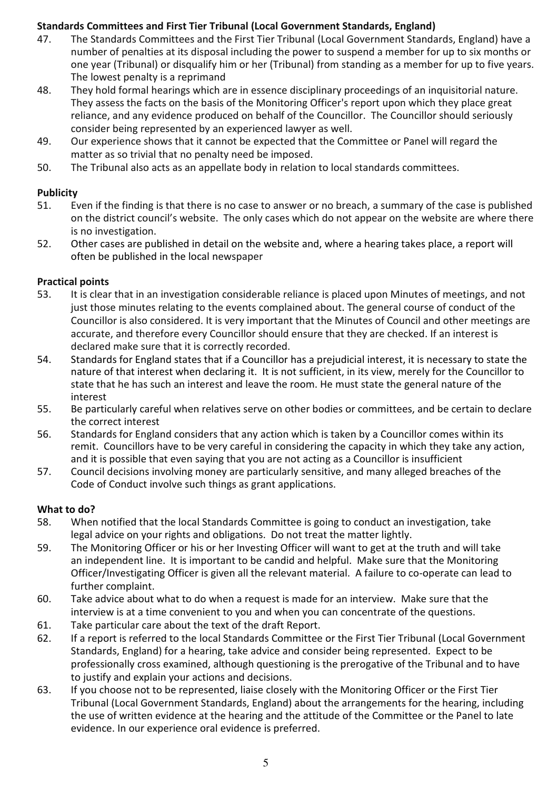## Standards Committees and First Tier Tribunal (Local Government Standards, England)

- 47. The Standards Committees and the First Tier Tribunal (Local Government Standards, England) have a number of penalties at its disposal including the power to suspend a member for up to six months or one year (Tribunal) or disqualify him or her (Tribunal) from standing as a member for up to five years. The lowest penalty is a reprimand
- 48. They hold formal hearings which are in essence disciplinary proceedings of an inquisitorial nature. They assess the facts on the basis of the Monitoring Officer's report upon which they place great reliance, and any evidence produced on behalf of the Councillor. The Councillor should seriously consider being represented by an experienced lawyer as well.
- 49. Our experience shows that it cannot be expected that the Committee or Panel will regard the matter as so trivial that no penalty need be imposed.
- 50. The Tribunal also acts as an appellate body in relation to local standards committees.

## **Publicity**

- 51. Even if the finding is that there is no case to answer or no breach, a summary of the case is published on the district council's website. The only cases which do not appear on the website are where there is no investigation.
- 52. Other cases are published in detail on the website and, where a hearing takes place, a report will often be published in the local newspaper

## Practical points

- 53. It is clear that in an investigation considerable reliance is placed upon Minutes of meetings, and not just those minutes relating to the events complained about. The general course of conduct of the Councillor is also considered. It is very important that the Minutes of Council and other meetings are accurate, and therefore every Councillor should ensure that they are checked. If an interest is declared make sure that it is correctly recorded.
- 54. Standards for England states that if a Councillor has a prejudicial interest, it is necessary to state the nature of that interest when declaring it. It is not sufficient, in its view, merely for the Councillor to state that he has such an interest and leave the room. He must state the general nature of the interest
- 55. Be particularly careful when relatives serve on other bodies or committees, and be certain to declare the correct interest
- 56. Standards for England considers that any action which is taken by a Councillor comes within its remit. Councillors have to be very careful in considering the capacity in which they take any action, and it is possible that even saying that you are not acting as a Councillor is insufficient
- 57. Council decisions involving money are particularly sensitive, and many alleged breaches of the Code of Conduct involve such things as grant applications.

# What to do?

- 58. When notified that the local Standards Committee is going to conduct an investigation, take legal advice on your rights and obligations. Do not treat the matter lightly.
- 59. The Monitoring Officer or his or her Investing Officer will want to get at the truth and will take an independent line. It is important to be candid and helpful. Make sure that the Monitoring Officer/Investigating Officer is given all the relevant material. A failure to co-operate can lead to further complaint.
- 60. Take advice about what to do when a request is made for an interview. Make sure that the interview is at a time convenient to you and when you can concentrate of the questions.
- 61. Take particular care about the text of the draft Report.
- 62. If a report is referred to the local Standards Committee or the First Tier Tribunal (Local Government Standards, England) for a hearing, take advice and consider being represented. Expect to be professionally cross examined, although questioning is the prerogative of the Tribunal and to have to justify and explain your actions and decisions.
- 63. If you choose not to be represented, liaise closely with the Monitoring Officer or the First Tier Tribunal (Local Government Standards, England) about the arrangements for the hearing, including the use of written evidence at the hearing and the attitude of the Committee or the Panel to late evidence. In our experience oral evidence is preferred.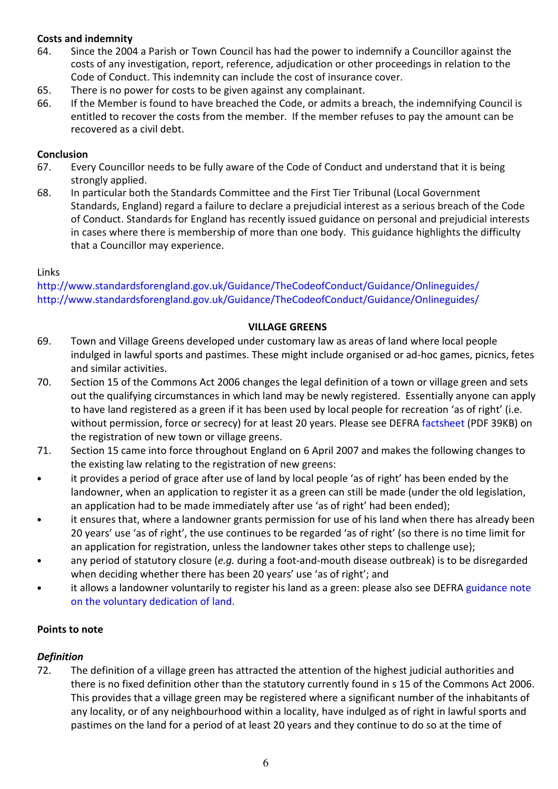## Costs and indemnity

- 64. Since the 2004 a Parish or Town Council has had the power to indemnify a Councillor against the costs of any investigation, report, reference, adjudication or other proceedings in relation to the Code of Conduct. This indemnity can include the cost of insurance cover.
- 65. There is no power for costs to be given against any complainant.
- 66. If the Member is found to have breached the Code, or admits a breach, the indemnifying Council is entitled to recover the costs from the member. If the member refuses to pay the amount can be recovered as a civil debt.

## **Conclusion**

- 67. Every Councillor needs to be fully aware of the Code of Conduct and understand that it is being strongly applied.
- 68. In particular both the Standards Committee and the First Tier Tribunal (Local Government Standards, England) regard a failure to declare a prejudicial interest as a serious breach of the Code of Conduct. Standards for England has recently issued guidance on personal and prejudicial interests in cases where there is membership of more than one body. This guidance highlights the difficulty that a Councillor may experience.

## Links

http://www.standardsforengland.gov.uk/Guidance/TheCodeofConduct/Guidance/Onlineguides/ http://www.standardsforengland.gov.uk/Guidance/TheCodeofConduct/Guidance/Onlineguides/

### VILLAGE GREENS

- 69. Town and Village Greens developed under customary law as areas of land where local people indulged in lawful sports and pastimes. These might include organised or ad-hoc games, picnics, fetes and similar activities.
- 70. Section 15 of the Commons Act 2006 changes the legal definition of a town or village green and sets out the qualifying circumstances in which land may be newly registered. Essentially anyone can apply to have land registered as a green if it has been used by local people for recreation 'as of right' (i.e. without permission, force or secrecy) for at least 20 years. Please see DEFRA factsheet (PDF 39KB) on the registration of new town or village greens.
- 71. Section 15 came into force throughout England on 6 April 2007 and makes the following changes to the existing law relating to the registration of new greens:
- it provides a period of grace after use of land by local people 'as of right' has been ended by the landowner, when an application to register it as a green can still be made (under the old legislation, an application had to be made immediately after use 'as of right' had been ended);
- it ensures that, where a landowner grants permission for use of his land when there has already been 20 years' use 'as of right', the use continues to be regarded 'as of right' (so there is no time limit for an application for registration, unless the landowner takes other steps to challenge use);
- any period of statutory closure (e.g. during a foot-and-mouth disease outbreak) is to be disregarded when deciding whether there has been 20 years' use 'as of right'; and
- it allows a landowner voluntarily to register his land as a green: please also see DEFRA guidance note on the voluntary dedication of land.

### Points to note

# Definition

72. The definition of a village green has attracted the attention of the highest judicial authorities and there is no fixed definition other than the statutory currently found in s 15 of the Commons Act 2006. This provides that a village green may be registered where a significant number of the inhabitants of any locality, or of any neighbourhood within a locality, have indulged as of right in lawful sports and pastimes on the land for a period of at least 20 years and they continue to do so at the time of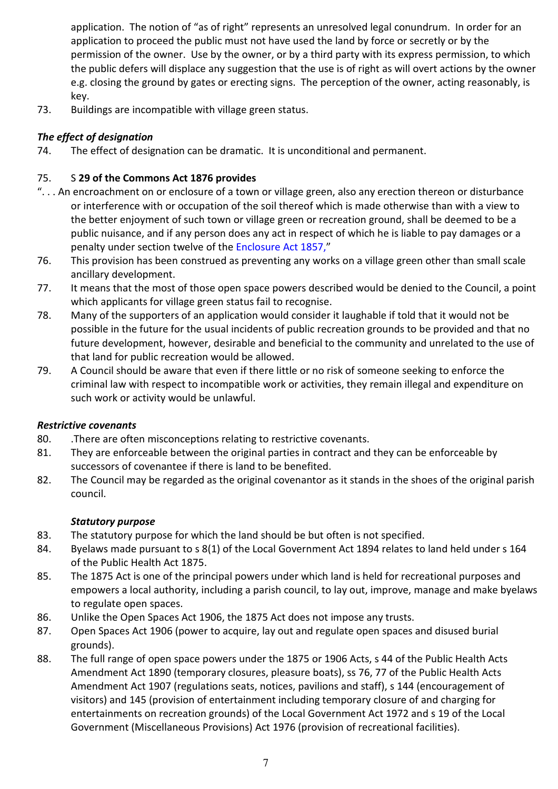application. The notion of "as of right" represents an unresolved legal conundrum. In order for an application to proceed the public must not have used the land by force or secretly or by the permission of the owner. Use by the owner, or by a third party with its express permission, to which the public defers will displace any suggestion that the use is of right as will overt actions by the owner e.g. closing the ground by gates or erecting signs. The perception of the owner, acting reasonably, is key.

73. Buildings are incompatible with village green status.

# The effect of designation

74. The effect of designation can be dramatic. It is unconditional and permanent.

# 75. S 29 of the Commons Act 1876 provides

- ". . . An encroachment on or enclosure of a town or village green, also any erection thereon or disturbance or interference with or occupation of the soil thereof which is made otherwise than with a view to the better enjoyment of such town or village green or recreation ground, shall be deemed to be a public nuisance, and if any person does any act in respect of which he is liable to pay damages or a penalty under section twelve of the Enclosure Act 1857,"
- 76. This provision has been construed as preventing any works on a village green other than small scale ancillary development.
- 77. It means that the most of those open space powers described would be denied to the Council, a point which applicants for village green status fail to recognise.
- 78. Many of the supporters of an application would consider it laughable if told that it would not be possible in the future for the usual incidents of public recreation grounds to be provided and that no future development, however, desirable and beneficial to the community and unrelated to the use of that land for public recreation would be allowed.
- 79. A Council should be aware that even if there little or no risk of someone seeking to enforce the criminal law with respect to incompatible work or activities, they remain illegal and expenditure on such work or activity would be unlawful.

# Restrictive covenants

- 80. .There are often misconceptions relating to restrictive covenants.
- 81. They are enforceable between the original parties in contract and they can be enforceable by successors of covenantee if there is land to be benefited.
- 82. The Council may be regarded as the original covenantor as it stands in the shoes of the original parish council.

# Statutory purpose

- 83. The statutory purpose for which the land should be but often is not specified.
- 84. Byelaws made pursuant to s 8(1) of the Local Government Act 1894 relates to land held under s 164 of the Public Health Act 1875.
- 85. The 1875 Act is one of the principal powers under which land is held for recreational purposes and empowers a local authority, including a parish council, to lay out, improve, manage and make byelaws to regulate open spaces.
- 86. Unlike the Open Spaces Act 1906, the 1875 Act does not impose any trusts.
- 87. Open Spaces Act 1906 (power to acquire, lay out and regulate open spaces and disused burial grounds).
- 88. The full range of open space powers under the 1875 or 1906 Acts, s 44 of the Public Health Acts Amendment Act 1890 (temporary closures, pleasure boats), ss 76, 77 of the Public Health Acts Amendment Act 1907 (regulations seats, notices, pavilions and staff), s 144 (encouragement of visitors) and 145 (provision of entertainment including temporary closure of and charging for entertainments on recreation grounds) of the Local Government Act 1972 and s 19 of the Local Government (Miscellaneous Provisions) Act 1976 (provision of recreational facilities).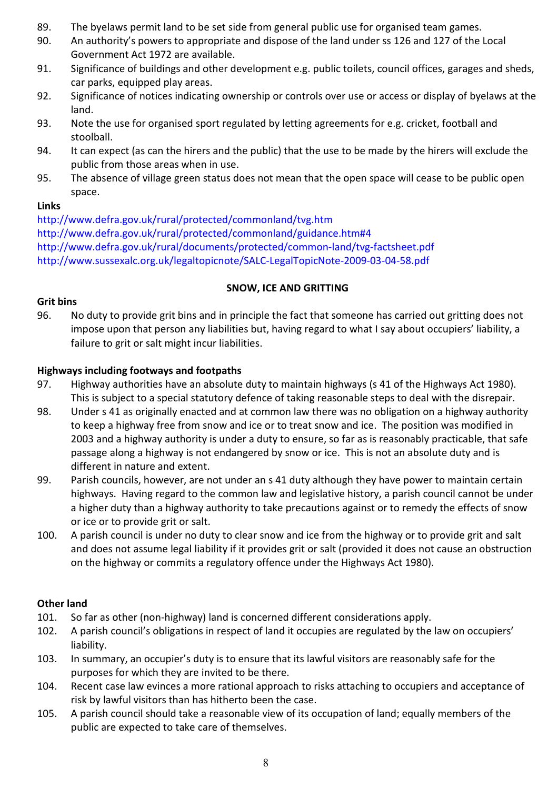- 89. The byelaws permit land to be set side from general public use for organised team games.
- 90. An authority's powers to appropriate and dispose of the land under ss 126 and 127 of the Local Government Act 1972 are available.
- 91. Significance of buildings and other development e.g. public toilets, council offices, garages and sheds, car parks, equipped play areas.
- 92. Significance of notices indicating ownership or controls over use or access or display of byelaws at the land.
- 93. Note the use for organised sport regulated by letting agreements for e.g. cricket, football and stoolball.
- 94. It can expect (as can the hirers and the public) that the use to be made by the hirers will exclude the public from those areas when in use.
- 95. The absence of village green status does not mean that the open space will cease to be public open space.

### Links

http://www.defra.gov.uk/rural/protected/commonland/tvg.htm http://www.defra.gov.uk/rural/protected/commonland/guidance.htm#4 http://www.defra.gov.uk/rural/documents/protected/common-land/tvg-factsheet.pdf http://www.sussexalc.org.uk/legaltopicnote/SALC-LegalTopicNote-2009-03-04-58.pdf

## SNOW, ICE AND GRITTING

## Grit bins

96. No duty to provide grit bins and in principle the fact that someone has carried out gritting does not impose upon that person any liabilities but, having regard to what I say about occupiers' liability, a failure to grit or salt might incur liabilities.

## Highways including footways and footpaths

- 97. Highway authorities have an absolute duty to maintain highways (s 41 of the Highways Act 1980). This is subject to a special statutory defence of taking reasonable steps to deal with the disrepair.
- 98. Under s 41 as originally enacted and at common law there was no obligation on a highway authority to keep a highway free from snow and ice or to treat snow and ice. The position was modified in 2003 and a highway authority is under a duty to ensure, so far as is reasonably practicable, that safe passage along a highway is not endangered by snow or ice. This is not an absolute duty and is different in nature and extent.
- 99. Parish councils, however, are not under an s 41 duty although they have power to maintain certain highways. Having regard to the common law and legislative history, a parish council cannot be under a higher duty than a highway authority to take precautions against or to remedy the effects of snow or ice or to provide grit or salt.
- 100. A parish council is under no duty to clear snow and ice from the highway or to provide grit and salt and does not assume legal liability if it provides grit or salt (provided it does not cause an obstruction on the highway or commits a regulatory offence under the Highways Act 1980).

# Other land

- 101. So far as other (non-highway) land is concerned different considerations apply.
- 102. A parish council's obligations in respect of land it occupies are regulated by the law on occupiers' liability.
- 103. In summary, an occupier's duty is to ensure that its lawful visitors are reasonably safe for the purposes for which they are invited to be there.
- 104. Recent case law evinces a more rational approach to risks attaching to occupiers and acceptance of risk by lawful visitors than has hitherto been the case.
- 105. A parish council should take a reasonable view of its occupation of land; equally members of the public are expected to take care of themselves.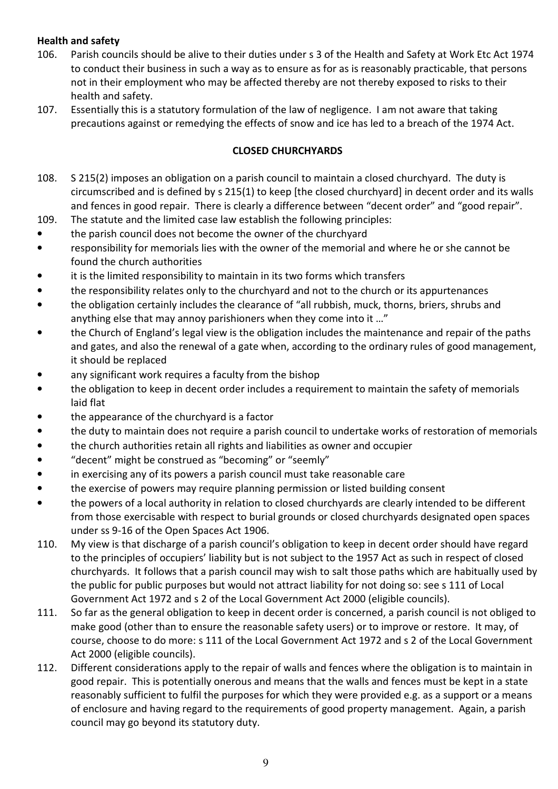## Health and safety

- 106. Parish councils should be alive to their duties under s 3 of the Health and Safety at Work Etc Act 1974 to conduct their business in such a way as to ensure as for as is reasonably practicable, that persons not in their employment who may be affected thereby are not thereby exposed to risks to their health and safety.
- 107. Essentially this is a statutory formulation of the law of negligence. I am not aware that taking precautions against or remedying the effects of snow and ice has led to a breach of the 1974 Act.

#### CLOSED CHURCHYARDS

- 108. S 215(2) imposes an obligation on a parish council to maintain a closed churchyard. The duty is circumscribed and is defined by s 215(1) to keep [the closed churchyard] in decent order and its walls and fences in good repair. There is clearly a difference between "decent order" and "good repair".
- 109. The statute and the limited case law establish the following principles:
- the parish council does not become the owner of the churchyard
- responsibility for memorials lies with the owner of the memorial and where he or she cannot be found the church authorities
- it is the limited responsibility to maintain in its two forms which transfers
- the responsibility relates only to the churchyard and not to the church or its appurtenances
- the obligation certainly includes the clearance of "all rubbish, muck, thorns, briers, shrubs and anything else that may annoy parishioners when they come into it …"
- the Church of England's legal view is the obligation includes the maintenance and repair of the paths and gates, and also the renewal of a gate when, according to the ordinary rules of good management, it should be replaced
- any significant work requires a faculty from the bishop
- the obligation to keep in decent order includes a requirement to maintain the safety of memorials laid flat
- the appearance of the churchyard is a factor
- the duty to maintain does not require a parish council to undertake works of restoration of memorials
- the church authorities retain all rights and liabilities as owner and occupier
- "decent" might be construed as "becoming" or "seemly"
- in exercising any of its powers a parish council must take reasonable care
- the exercise of powers may require planning permission or listed building consent
- the powers of a local authority in relation to closed churchyards are clearly intended to be different from those exercisable with respect to burial grounds or closed churchyards designated open spaces under ss 9-16 of the Open Spaces Act 1906.
- 110. My view is that discharge of a parish council's obligation to keep in decent order should have regard to the principles of occupiers' liability but is not subject to the 1957 Act as such in respect of closed churchyards. It follows that a parish council may wish to salt those paths which are habitually used by the public for public purposes but would not attract liability for not doing so: see s 111 of Local Government Act 1972 and s 2 of the Local Government Act 2000 (eligible councils).
- 111. So far as the general obligation to keep in decent order is concerned, a parish council is not obliged to make good (other than to ensure the reasonable safety users) or to improve or restore. It may, of course, choose to do more: s 111 of the Local Government Act 1972 and s 2 of the Local Government Act 2000 (eligible councils).
- 112. Different considerations apply to the repair of walls and fences where the obligation is to maintain in good repair. This is potentially onerous and means that the walls and fences must be kept in a state reasonably sufficient to fulfil the purposes for which they were provided e.g. as a support or a means of enclosure and having regard to the requirements of good property management. Again, a parish council may go beyond its statutory duty.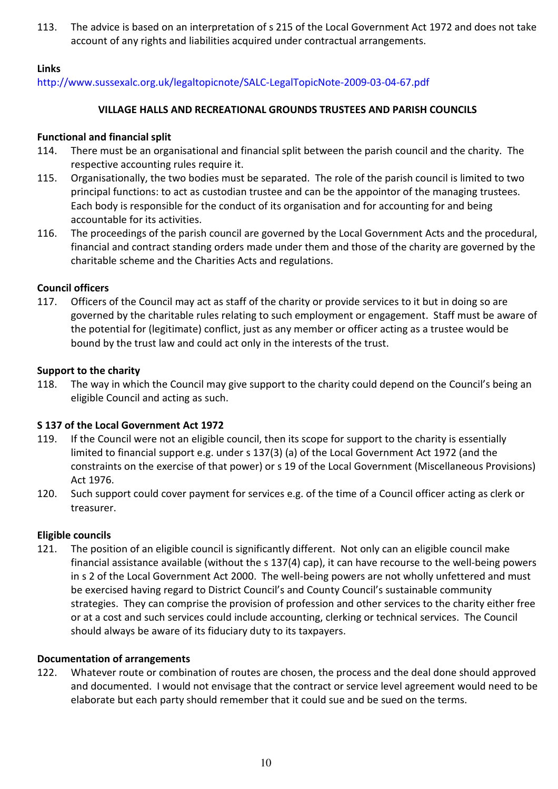113. The advice is based on an interpretation of s 215 of the Local Government Act 1972 and does not take account of any rights and liabilities acquired under contractual arrangements.

## Links

http://www.sussexalc.org.uk/legaltopicnote/SALC-LegalTopicNote-2009-03-04-67.pdf

#### VILLAGE HALLS AND RECREATIONAL GROUNDS TRUSTEES AND PARISH COUNCILS

#### Functional and financial split

- 114. There must be an organisational and financial split between the parish council and the charity. The respective accounting rules require it.
- 115. Organisationally, the two bodies must be separated. The role of the parish council is limited to two principal functions: to act as custodian trustee and can be the appointor of the managing trustees. Each body is responsible for the conduct of its organisation and for accounting for and being accountable for its activities.
- 116. The proceedings of the parish council are governed by the Local Government Acts and the procedural, financial and contract standing orders made under them and those of the charity are governed by the charitable scheme and the Charities Acts and regulations.

### Council officers

117. Officers of the Council may act as staff of the charity or provide services to it but in doing so are governed by the charitable rules relating to such employment or engagement. Staff must be aware of the potential for (legitimate) conflict, just as any member or officer acting as a trustee would be bound by the trust law and could act only in the interests of the trust.

### Support to the charity

118. The way in which the Council may give support to the charity could depend on the Council's being an eligible Council and acting as such.

### S 137 of the Local Government Act 1972

- 119. If the Council were not an eligible council, then its scope for support to the charity is essentially limited to financial support e.g. under s 137(3) (a) of the Local Government Act 1972 (and the constraints on the exercise of that power) or s 19 of the Local Government (Miscellaneous Provisions) Act 1976.
- 120. Such support could cover payment for services e.g. of the time of a Council officer acting as clerk or treasurer.

### Eligible councils

121. The position of an eligible council is significantly different. Not only can an eligible council make financial assistance available (without the s 137(4) cap), it can have recourse to the well-being powers in s 2 of the Local Government Act 2000. The well-being powers are not wholly unfettered and must be exercised having regard to District Council's and County Council's sustainable community strategies. They can comprise the provision of profession and other services to the charity either free or at a cost and such services could include accounting, clerking or technical services. The Council should always be aware of its fiduciary duty to its taxpayers.

#### Documentation of arrangements

122. Whatever route or combination of routes are chosen, the process and the deal done should approved and documented. I would not envisage that the contract or service level agreement would need to be elaborate but each party should remember that it could sue and be sued on the terms.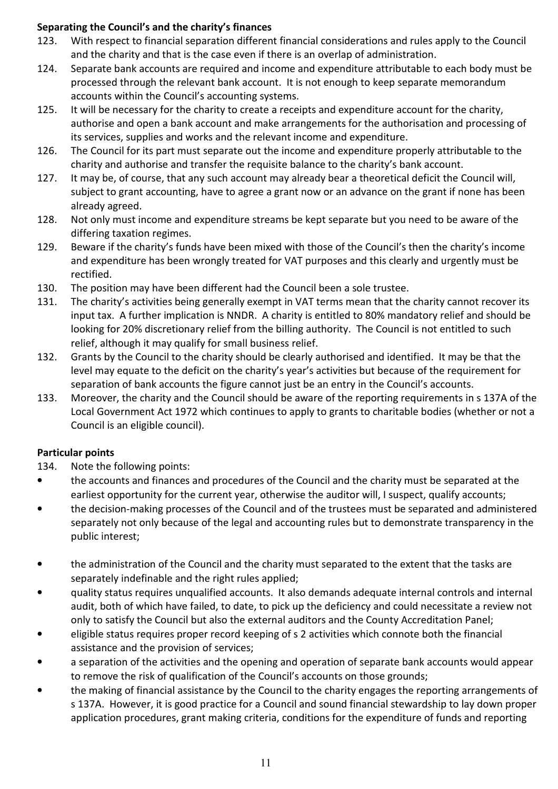# Separating the Council's and the charity's finances

- 123. With respect to financial separation different financial considerations and rules apply to the Council and the charity and that is the case even if there is an overlap of administration.
- 124. Separate bank accounts are required and income and expenditure attributable to each body must be processed through the relevant bank account. It is not enough to keep separate memorandum accounts within the Council's accounting systems.
- 125. It will be necessary for the charity to create a receipts and expenditure account for the charity, authorise and open a bank account and make arrangements for the authorisation and processing of its services, supplies and works and the relevant income and expenditure.
- 126. The Council for its part must separate out the income and expenditure properly attributable to the charity and authorise and transfer the requisite balance to the charity's bank account.
- 127. It may be, of course, that any such account may already bear a theoretical deficit the Council will, subject to grant accounting, have to agree a grant now or an advance on the grant if none has been already agreed.
- 128. Not only must income and expenditure streams be kept separate but you need to be aware of the differing taxation regimes.
- 129. Beware if the charity's funds have been mixed with those of the Council's then the charity's income and expenditure has been wrongly treated for VAT purposes and this clearly and urgently must be rectified.
- 130. The position may have been different had the Council been a sole trustee.
- 131. The charity's activities being generally exempt in VAT terms mean that the charity cannot recover its input tax. A further implication is NNDR. A charity is entitled to 80% mandatory relief and should be looking for 20% discretionary relief from the billing authority. The Council is not entitled to such relief, although it may qualify for small business relief.
- 132. Grants by the Council to the charity should be clearly authorised and identified. It may be that the level may equate to the deficit on the charity's year's activities but because of the requirement for separation of bank accounts the figure cannot just be an entry in the Council's accounts.
- 133. Moreover, the charity and the Council should be aware of the reporting requirements in s 137A of the Local Government Act 1972 which continues to apply to grants to charitable bodies (whether or not a Council is an eligible council).

# Particular points

- 134. Note the following points:
- the accounts and finances and procedures of the Council and the charity must be separated at the earliest opportunity for the current year, otherwise the auditor will, I suspect, qualify accounts;
- the decision-making processes of the Council and of the trustees must be separated and administered separately not only because of the legal and accounting rules but to demonstrate transparency in the public interest;
- the administration of the Council and the charity must separated to the extent that the tasks are separately indefinable and the right rules applied;
- quality status requires unqualified accounts. It also demands adequate internal controls and internal audit, both of which have failed, to date, to pick up the deficiency and could necessitate a review not only to satisfy the Council but also the external auditors and the County Accreditation Panel;
- eligible status requires proper record keeping of s 2 activities which connote both the financial assistance and the provision of services;
- a separation of the activities and the opening and operation of separate bank accounts would appear to remove the risk of qualification of the Council's accounts on those grounds;
- the making of financial assistance by the Council to the charity engages the reporting arrangements of s 137A. However, it is good practice for a Council and sound financial stewardship to lay down proper application procedures, grant making criteria, conditions for the expenditure of funds and reporting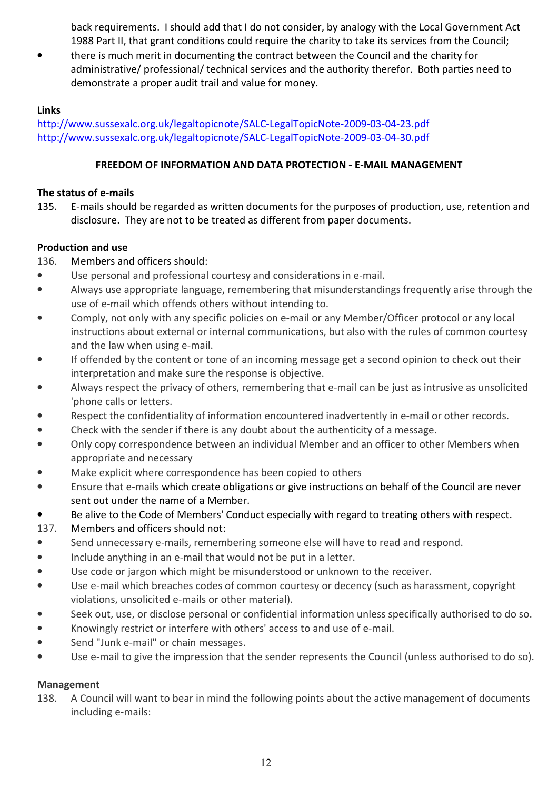back requirements. I should add that I do not consider, by analogy with the Local Government Act 1988 Part II, that grant conditions could require the charity to take its services from the Council;

there is much merit in documenting the contract between the Council and the charity for administrative/ professional/ technical services and the authority therefor. Both parties need to demonstrate a proper audit trail and value for money.

## Links

http://www.sussexalc.org.uk/legaltopicnote/SALC-LegalTopicNote-2009-03-04-23.pdf http://www.sussexalc.org.uk/legaltopicnote/SALC-LegalTopicNote-2009-03-04-30.pdf

## FREEDOM OF INFORMATION AND DATA PROTECTION - E-MAIL MANAGEMENT

## The status of e-mails

135. E-mails should be regarded as written documents for the purposes of production, use, retention and disclosure. They are not to be treated as different from paper documents.

## Production and use

# 136. Members and officers should:

- Use personal and professional courtesy and considerations in e-mail.
- Always use appropriate language, remembering that misunderstandings frequently arise through the use of e-mail which offends others without intending to.
- Comply, not only with any specific policies on e-mail or any Member/Officer protocol or any local instructions about external or internal communications, but also with the rules of common courtesy and the law when using e-mail.
- If offended by the content or tone of an incoming message get a second opinion to check out their interpretation and make sure the response is objective.
- Always respect the privacy of others, remembering that e-mail can be just as intrusive as unsolicited 'phone calls or letters.
- Respect the confidentiality of information encountered inadvertently in e-mail or other records.
- Check with the sender if there is any doubt about the authenticity of a message.
- Only copy correspondence between an individual Member and an officer to other Members when appropriate and necessary
- Make explicit where correspondence has been copied to others
- Ensure that e-mails which create obligations or give instructions on behalf of the Council are never sent out under the name of a Member.
- Be alive to the Code of Members' Conduct especially with regard to treating others with respect.
- 137. Members and officers should not:
- Send unnecessary e-mails, remembering someone else will have to read and respond.
- Include anything in an e-mail that would not be put in a letter.
- Use code or jargon which might be misunderstood or unknown to the receiver.
- Use e-mail which breaches codes of common courtesy or decency (such as harassment, copyright violations, unsolicited e-mails or other material).
- Seek out, use, or disclose personal or confidential information unless specifically authorised to do so.
- Knowingly restrict or interfere with others' access to and use of e-mail.
- Send "Junk e-mail" or chain messages.
- Use e-mail to give the impression that the sender represents the Council (unless authorised to do so).

# Management

138. A Council will want to bear in mind the following points about the active management of documents including e-mails: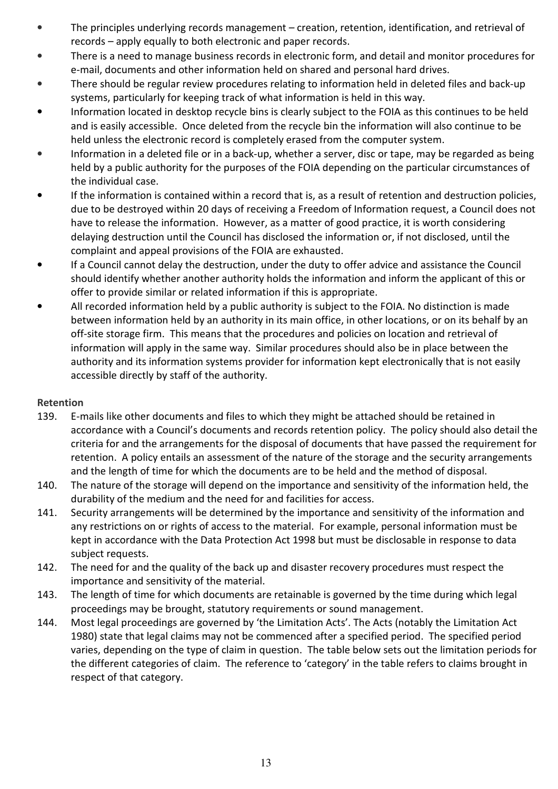- The principles underlying records management creation, retention, identification, and retrieval of records – apply equally to both electronic and paper records.
- There is a need to manage business records in electronic form, and detail and monitor procedures for e-mail, documents and other information held on shared and personal hard drives.
- There should be regular review procedures relating to information held in deleted files and back-up systems, particularly for keeping track of what information is held in this way.
- Information located in desktop recycle bins is clearly subject to the FOIA as this continues to be held and is easily accessible. Once deleted from the recycle bin the information will also continue to be held unless the electronic record is completely erased from the computer system.
- Information in a deleted file or in a back-up, whether a server, disc or tape, may be regarded as being held by a public authority for the purposes of the FOIA depending on the particular circumstances of the individual case.
- If the information is contained within a record that is, as a result of retention and destruction policies, due to be destroyed within 20 days of receiving a Freedom of Information request, a Council does not have to release the information. However, as a matter of good practice, it is worth considering delaying destruction until the Council has disclosed the information or, if not disclosed, until the complaint and appeal provisions of the FOIA are exhausted.
- If a Council cannot delay the destruction, under the duty to offer advice and assistance the Council should identify whether another authority holds the information and inform the applicant of this or offer to provide similar or related information if this is appropriate.
- All recorded information held by a public authority is subject to the FOIA. No distinction is made between information held by an authority in its main office, in other locations, or on its behalf by an off-site storage firm. This means that the procedures and policies on location and retrieval of information will apply in the same way. Similar procedures should also be in place between the authority and its information systems provider for information kept electronically that is not easily accessible directly by staff of the authority.

### Retention

- 139. E-mails like other documents and files to which they might be attached should be retained in accordance with a Council's documents and records retention policy. The policy should also detail the criteria for and the arrangements for the disposal of documents that have passed the requirement for retention. A policy entails an assessment of the nature of the storage and the security arrangements and the length of time for which the documents are to be held and the method of disposal.
- 140. The nature of the storage will depend on the importance and sensitivity of the information held, the durability of the medium and the need for and facilities for access.
- 141. Security arrangements will be determined by the importance and sensitivity of the information and any restrictions on or rights of access to the material. For example, personal information must be kept in accordance with the Data Protection Act 1998 but must be disclosable in response to data subject requests.
- 142. The need for and the quality of the back up and disaster recovery procedures must respect the importance and sensitivity of the material.
- 143. The length of time for which documents are retainable is governed by the time during which legal proceedings may be brought, statutory requirements or sound management.
- 144. Most legal proceedings are governed by 'the Limitation Acts'. The Acts (notably the Limitation Act 1980) state that legal claims may not be commenced after a specified period. The specified period varies, depending on the type of claim in question. The table below sets out the limitation periods for the different categories of claim. The reference to 'category' in the table refers to claims brought in respect of that category.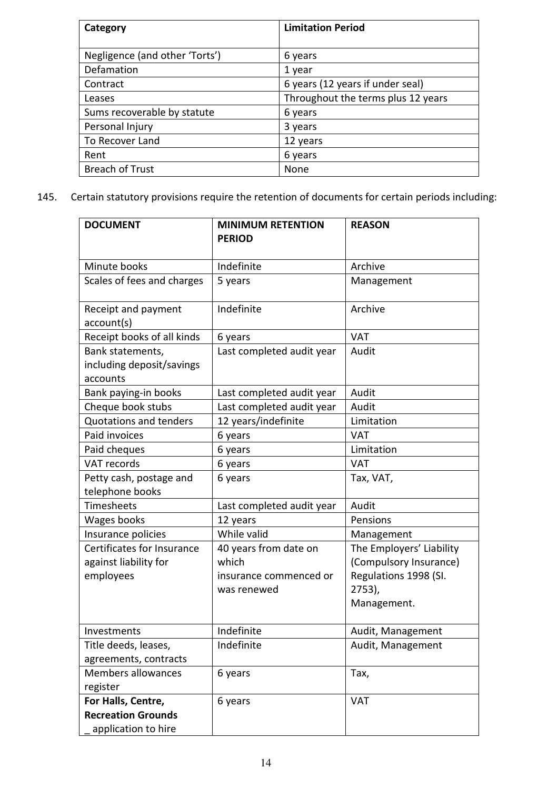| Category                       | <b>Limitation Period</b>           |
|--------------------------------|------------------------------------|
|                                |                                    |
| Negligence (and other 'Torts') | 6 years                            |
| Defamation                     | 1 year                             |
| Contract                       | 6 years (12 years if under seal)   |
| Leases                         | Throughout the terms plus 12 years |
| Sums recoverable by statute    | 6 years                            |
| Personal Injury                | 3 years                            |
| To Recover Land                | 12 years                           |
| Rent                           | 6 years                            |
| <b>Breach of Trust</b>         | None                               |

145. Certain statutory provisions require the retention of documents for certain periods including:

| <b>DOCUMENT</b>                                           | <b>MINIMUM RETENTION</b><br><b>PERIOD</b> | <b>REASON</b>            |
|-----------------------------------------------------------|-------------------------------------------|--------------------------|
|                                                           |                                           |                          |
| Minute books                                              | Indefinite                                | Archive                  |
| Scales of fees and charges                                | 5 years                                   | Management               |
| Receipt and payment<br>account(s)                         | Indefinite                                | Archive                  |
| Receipt books of all kinds                                | 6 years                                   | <b>VAT</b>               |
| Bank statements,<br>including deposit/savings<br>accounts | Last completed audit year                 | Audit                    |
| Bank paying-in books                                      | Last completed audit year                 | Audit                    |
| Cheque book stubs                                         | Last completed audit year                 | Audit                    |
| <b>Quotations and tenders</b>                             | 12 years/indefinite                       | Limitation               |
| Paid invoices                                             | 6 years                                   | <b>VAT</b>               |
| Paid cheques                                              | 6 years                                   | Limitation               |
| VAT records                                               | 6 years                                   | <b>VAT</b>               |
| Petty cash, postage and<br>telephone books                | 6 years                                   | Tax, VAT,                |
| Timesheets                                                | Last completed audit year                 | Audit                    |
| Wages books                                               | 12 years                                  | Pensions                 |
| Insurance policies                                        | While valid                               | Management               |
| Certificates for Insurance                                | 40 years from date on                     | The Employers' Liability |
| against liability for                                     | which                                     | (Compulsory Insurance)   |
| employees                                                 | insurance commenced or                    | Regulations 1998 (SI.    |
|                                                           | was renewed                               | $2753$ ),                |
|                                                           |                                           | Management.              |
| Investments                                               | Indefinite                                | Audit, Management        |
| Title deeds, leases,                                      | Indefinite                                | Audit, Management        |
| agreements, contracts                                     |                                           |                          |
| <b>Members allowances</b>                                 | 6 years                                   | Tax,                     |
| register                                                  |                                           |                          |
| For Halls, Centre,                                        | 6 years                                   | <b>VAT</b>               |
| <b>Recreation Grounds</b>                                 |                                           |                          |
| application to hire                                       |                                           |                          |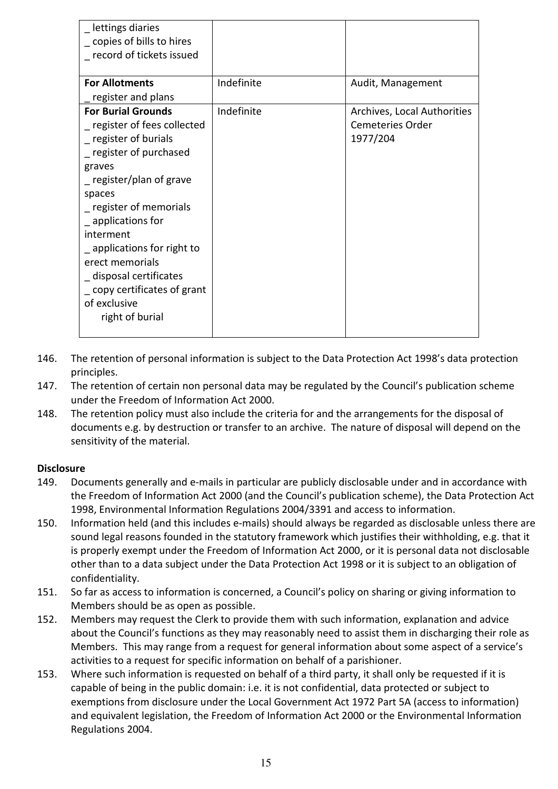| _ lettings diaries<br>_ copies of bills to hires<br>record of tickets issued                                                                                                                                                                                                                                                                                            |            |                                                                    |
|-------------------------------------------------------------------------------------------------------------------------------------------------------------------------------------------------------------------------------------------------------------------------------------------------------------------------------------------------------------------------|------------|--------------------------------------------------------------------|
| <b>For Allotments</b>                                                                                                                                                                                                                                                                                                                                                   | Indefinite | Audit, Management                                                  |
| register and plans                                                                                                                                                                                                                                                                                                                                                      |            |                                                                    |
| <b>For Burial Grounds</b><br>register of fees collected<br>_ register of burials<br>_ register of purchased<br>graves<br>register/plan of grave<br>spaces<br>_ register of memorials<br>_ applications for<br>interment<br>_ applications for right to<br>erect memorials<br>_ disposal certificates<br>_ copy certificates of grant<br>of exclusive<br>right of burial | Indefinite | Archives, Local Authorities<br><b>Cemeteries Order</b><br>1977/204 |

- 146. The retention of personal information is subject to the Data Protection Act 1998's data protection principles.
- 147. The retention of certain non personal data may be regulated by the Council's publication scheme under the Freedom of Information Act 2000.
- 148. The retention policy must also include the criteria for and the arrangements for the disposal of documents e.g. by destruction or transfer to an archive. The nature of disposal will depend on the sensitivity of the material.

### **Disclosure**

- 149. Documents generally and e-mails in particular are publicly disclosable under and in accordance with the Freedom of Information Act 2000 (and the Council's publication scheme), the Data Protection Act 1998, Environmental Information Regulations 2004/3391 and access to information.
- 150. Information held (and this includes e-mails) should always be regarded as disclosable unless there are sound legal reasons founded in the statutory framework which justifies their withholding, e.g. that it is properly exempt under the Freedom of Information Act 2000, or it is personal data not disclosable other than to a data subject under the Data Protection Act 1998 or it is subject to an obligation of confidentiality.
- 151. So far as access to information is concerned, a Council's policy on sharing or giving information to Members should be as open as possible.
- 152. Members may request the Clerk to provide them with such information, explanation and advice about the Council's functions as they may reasonably need to assist them in discharging their role as Members. This may range from a request for general information about some aspect of a service's activities to a request for specific information on behalf of a parishioner.
- 153. Where such information is requested on behalf of a third party, it shall only be requested if it is capable of being in the public domain: i.e. it is not confidential, data protected or subject to exemptions from disclosure under the Local Government Act 1972 Part 5A (access to information) and equivalent legislation, the Freedom of Information Act 2000 or the Environmental Information Regulations 2004.